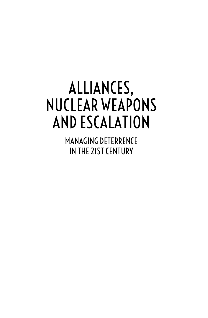MANAGING DETERRENCE IN THE 21ST CENTURY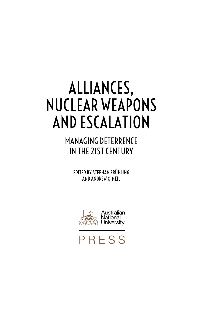## MANAGING DETERRENCE IN THE 21ST CENTURY

EDITED BY STEPHAN FRÜHLING AND ANDREW O'NEIL



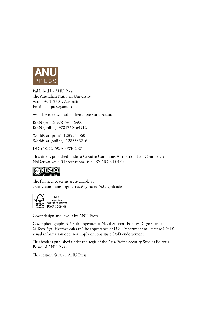

Published by ANU Press The Australian National University Acton ACT 2601, Australia Email: anupress@anu.edu.au

Available to download for free at press.anu.edu.au

ISBN (print): 9781760464905 ISBN (online): 9781760464912

WorldCat (print): 1285533360 WorldCat (online): 1285533216

DOI: 10.22459/ANWE.2021

This title is published under a Creative Commons Attribution-NonCommercial-NoDerivatives 4.0 International (CC BY-NC-ND 4.0).



The full licence terms are available at [creativecommons.org/licenses/by-nc-nd/4.0/legalcode](http://creativecommons.org/licenses/by-nc-nd/4.0/legalcode)



Cover design and layout by ANU Press

Cover photograph: B-2 Spirit operates at Naval Support Facility Diego Garcia. © Tech. Sgt. Heather Salazar. The appearance of U.S. Department of Defense (DoD) visual information does not imply or constitute DoD endorsement.

This book is published under the aegis of the Asia-Pacific Security Studies Editorial Board of ANU Press.

This edition © 2021 ANU Press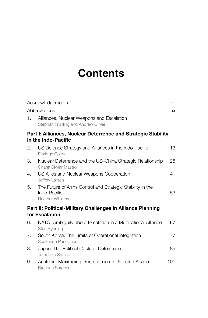# **Contents**

|    | Acknowledgements                                                                                     | vii          |
|----|------------------------------------------------------------------------------------------------------|--------------|
|    | Abbreviations                                                                                        | ix           |
| 1. | Alliances, Nuclear Weapons and Escalation<br>Stephan Frühling and Andrew O'Neil                      | $\mathbf{1}$ |
|    | Part I: Alliances, Nuclear Deterrence and Strategic Stability<br>in the Indo-Pacific                 |              |
| 2. | US Defence Strategy and Alliances in the Indo-Pacific<br>Elbridge Colby                              | 13           |
| 3. | Nuclear Deterrence and the US-China Strategic Relationship<br>Oriana Skylar Mastro                   | 25           |
| 4. | US Allies and Nuclear Weapons Cooperation<br>Jeffrey Larsen                                          | 41           |
| 5. | The Future of Arms Control and Strategic Stability in the<br>Indo-Pacific<br><b>Heather Williams</b> | 53           |
|    | Part II: Political-Military Challenges in Alliance Planning<br>for Escalation                        |              |
| 6. | NATO: Ambiguity about Escalation in a Multinational Alliance<br>Sten Rynning                         | 67           |
| 7. | South Korea: The Limits of Operational Integration<br>Seukhoon Paul Choi                             | 77           |
| 8. | Japan: The Political Costs of Deterrence<br>Tomohiko Satake                                          | 89           |
| 9. | Australia: Maximising Discretion in an Untested Alliance<br>Brendan Sargeant                         | 101          |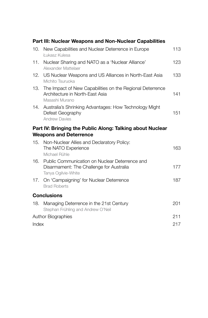#### **Part III: Nuclear Weapons and Non-Nuclear Capabilities**

|     | 10. New Capabilities and Nuclear Deterrence in Europe<br>Łukasz Kulesa                                            | 113 |
|-----|-------------------------------------------------------------------------------------------------------------------|-----|
| 11. | Nuclear Sharing and NATO as a 'Nuclear Alliance'<br>Alexander Mattelaer                                           | 123 |
| 12. | US Nuclear Weapons and US Alliances in North-East Asia<br>Michito Tsuruoka                                        | 133 |
| 13. | The Impact of New Capabilities on the Regional Deterrence<br>Architecture in North-East Asia<br>Masashi Murano    | 141 |
| 14. | Australia's Shrinking Advantages: How Technology Might<br>Defeat Geography<br><b>Andrew Davies</b>                | 151 |
|     | Part IV: Bringing the Public Along: Talking about Nuclear                                                         |     |
|     | <b>Weapons and Deterrence</b>                                                                                     |     |
|     | 15. Non-Nuclear Allies and Declaratory Policy:<br>The NATO Experience<br>Michael Rühle                            | 163 |
| 16. | Public Communication on Nuclear Deterrence and<br>Disarmament: The Challenge for Australia<br>Tanya Ogilvie-White | 177 |
| 17. | On 'Campaigning' for Nuclear Deterrence<br><b>Brad Roberts</b>                                                    | 187 |
|     | <b>Conclusions</b>                                                                                                |     |
| 18. | Managing Deterrence in the 21st Century<br>Stephan Frühling and Andrew O'Neil                                     | 201 |
|     | <b>Author Biographies</b>                                                                                         |     |
|     | Index                                                                                                             |     |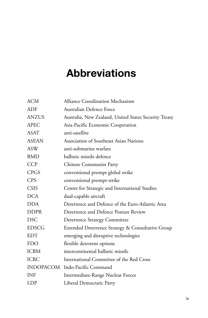## **Abbreviations**

| ACM          | Alliance Coordination Mechanism                       |
|--------------|-------------------------------------------------------|
| ADF          | Australian Defence Force                              |
| <b>ANZUS</b> | Australia, New Zealand, United States Security Treaty |
| <b>APEC</b>  | Asia-Pacific Economic Cooperation                     |
| <b>ASAT</b>  | anti-satellite                                        |
| <b>ASEAN</b> | Association of Southeast Asian Nations                |
| <b>ASW</b>   | anti-submarine warfare                                |
| <b>BMD</b>   | ballistic missile defence                             |
| <b>CCP</b>   | <b>Chinese Communist Party</b>                        |
| <b>CPGS</b>  | conventional prompt global strike                     |
| <b>CPS</b>   | conventional prompt-strike                            |
| <b>CSIS</b>  | Centre for Strategic and International Studies        |
| <b>DCA</b>   | dual-capable aircraft                                 |
| <b>DDA</b>   | Deterrence and Defence of the Euro-Atlantic Area      |
| <b>DDPR</b>  | Deterrence and Defence Posture Review                 |
| <b>DSC</b>   | Deterrence Strategy Committee                         |
| <b>EDSCG</b> | Extended Deterrence Strategy & Consultative Group     |
| <b>EDT</b>   | emerging and disruptive technologies                  |
| <b>FDO</b>   | flexible deterrent options                            |
| <b>ICBM</b>  | intercontinental ballistic missile                    |
| <b>ICRC</b>  | International Committee of the Red Cross              |
| INDOPACOM    | Indo-Pacific Command                                  |
| <b>INF</b>   | Intermediate-Range Nuclear Forces                     |
| <b>LDP</b>   | Liberal Democratic Party                              |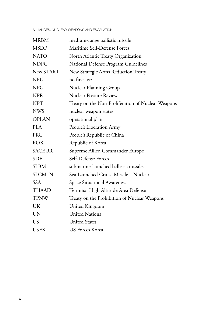| <b>MRBM</b>   | medium-range ballistic missile                     |
|---------------|----------------------------------------------------|
| <b>MSDF</b>   | Maritime Self-Defense Forces                       |
| <b>NATO</b>   | North Atlantic Treaty Organization                 |
| <b>NDPG</b>   | National Defense Program Guidelines                |
| New START     | New Strategic Arms Reduction Treaty                |
| <b>NFU</b>    | no first use                                       |
| <b>NPG</b>    | Nuclear Planning Group                             |
| <b>NPR</b>    | <b>Nuclear Posture Review</b>                      |
| <b>NPT</b>    | Treaty on the Non-Proliferation of Nuclear Weapons |
| <b>NWS</b>    | nuclear weapon states                              |
| <b>OPLAN</b>  | operational plan                                   |
| <b>PLA</b>    | People's Liberation Army                           |
| <b>PRC</b>    | People's Republic of China                         |
| <b>ROK</b>    | Republic of Korea                                  |
| <b>SACEUR</b> | Supreme Allied Commander Europe                    |
| <b>SDF</b>    | Self-Defense Forces                                |
| SLBM          | submarine-launched ballistic missiles              |
| SLCM-N        | Sea-Launched Cruise Missile - Nuclear              |
| <b>SSA</b>    | Space Situational Awareness                        |
| <b>THAAD</b>  | Terminal High Altitude Area Defense                |
| <b>TPNW</b>   | Treaty on the Prohibition of Nuclear Weapons       |
| UK            | United Kingdom                                     |
| <b>UN</b>     | <b>United Nations</b>                              |
| <b>US</b>     | <b>United States</b>                               |
| USFK          | <b>US Forces Korea</b>                             |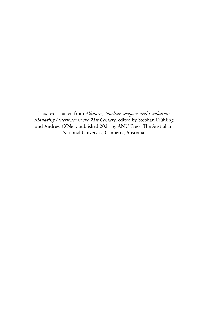This text is taken from *Alliances, Nuclear Weapons and Escalation: Managing Deterrence in the 21st Century*, edited by Stephan Frühling and Andrew O'Neil, published 2021 by ANU Press, The Australian National University, Canberra, Australia.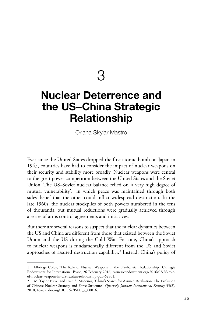3

## **Nuclear Deterrence and the US–China Strategic Relationship**

Oriana Skylar Mastro

Ever since the United States dropped the first atomic bomb on Japan in 1945, countries have had to consider the impact of nuclear weapons on their security and stability more broadly. Nuclear weapons were central to the great power competition between the United States and the Soviet Union. The US–Soviet nuclear balance relied on 'a very high degree of mutual vulnerability',<sup>1</sup> in which peace was maintained through both sides' belief that the other could inflict widespread destruction. In the late 1960s, the nuclear stockpiles of both powers numbered in the tens of thousands, but mutual reductions were gradually achieved through a series of arms control agreements and initiatives.

But there are several reasons to suspect that the nuclear dynamics between the US and China are different from those that existed between the Soviet Union and the US during the Cold War. For one, China's approach to nuclear weapons is fundamentally different from the US and Soviet approaches of assured destruction capability.<sup>2</sup> Instead, China's policy of

<sup>1</sup> Elbridge Colby, 'The Role of Nuclear Weapons in the US–Russian Relationship', Carnegie Endowment for International Peace, 26 February 2016, [carnegieendowment.org/2016/02/26/role](http://carnegieendowment.org/2016/02/26/role-of-nuclear-weapons-in-US-russian-relationship-pub-62901)[of-nuclear-weapons-in-US-russian-relationship-pub-62901](http://carnegieendowment.org/2016/02/26/role-of-nuclear-weapons-in-US-russian-relationship-pub-62901).

<sup>2</sup> M. Taylor Fravel and Evan S. Medeiros, 'China's Search for Assured Retaliation: The Evolution of Chinese Nuclear Strategy and Force Structure*'*, *Quarterly Journal: International Security* 35(2), 2010, 48–87. [doi.org/10.1162/ISEC\\_a\\_00016](http://doi.org/10.1162/ISEC_a_00016).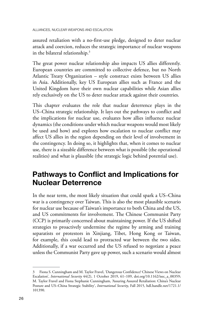assured retaliation with a no-first-use pledge, designed to deter nuclear attack and coercion, reduces the strategic importance of nuclear weapons in the bilateral relationship.3

The great power nuclear relationship also impacts US allies differently. European countries are committed to collective defence, but no North Atlantic Treaty Organization – style construct exists between US allies in Asia. Additionally, key US European allies such as France and the United Kingdom have their own nuclear capabilities while Asian allies rely exclusively on the US to deter nuclear attack against their countries.

This chapter evaluates the role that nuclear deterrence plays in the US–China strategic relationship. It lays out the pathways to conflict and the implications for nuclear use, evaluates how allies influence nuclear dynamics (the conditions under which nuclear weapons would most likely be used and how) and explores how escalation to nuclear conflict may affect US allies in the region depending on their level of involvement in the contingency. In doing so, it highlights that, when it comes to nuclear use, there is a sizeable difference between what is possible (the operational realities) and what is plausible (the strategic logic behind potential use).

### **Pathways to Conflict and Implications for Nuclear Deterrence**

In the near term, the most likely situation that could spark a US–China war is a contingency over Taiwan. This is also the most plausible scenario for nuclear use because of Taiwan's importance to both China and the US, and US commitments for involvement. The Chinese Communist Party (CCP) is primarily concerned about maintaining power. If the US shifted strategies to proactively undermine the regime by arming and training separatists or protestors in Xinjiang, Tibet, Hong Kong or Taiwan, for example, this could lead to protracted war between the two sides. Additionally, if a war occurred and the US refused to negotiate a peace unless the Communist Party gave up power, such a scenario would almost

<sup>3</sup> Fiona S. Cunningham and M. Taylor Fravel, 'Dangerous Confidence? Chinese Views on Nuclear Escalation', *International Security* 44(2), 1 October 2019, 61–109, [doi.org/10.1162/isec\\_a\\_00359](http://doi.org/10.1162/isec_a_00359); M. Taylor Fravel and Fiona Stephanie Cunningham, 'Assuring Assured Retaliation: China's Nuclear Posture and US–China Strategic Stability', *International Security*, Fall 2015, [hdl.handle.net/1721.1/](http://hdl.handle.net/1721.1/101390) [101390](http://hdl.handle.net/1721.1/101390).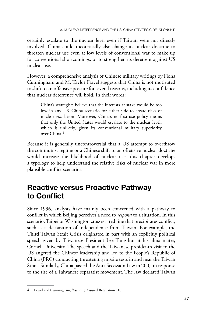certainly escalate to the nuclear level even if Taiwan were not directly involved. China could theoretically also change its nuclear doctrine to threaten nuclear use even at low levels of conventional war to make up for conventional shortcomings, or to strengthen its deterrent against US nuclear use.

However, a comprehensive analysis of Chinese military writings by Fiona Cunningham and M. Taylor Fravel suggests that China is not motivated to shift to an offensive posture for several reasons, including its confidence that nuclear deterrence will hold. In their words:

China's strategists believe that the interests at stake would be too low in any US–China scenario for either side to create risks of nuclear escalation. Moreover, China's no-first-use policy means that only the United States would escalate to the nuclear level, which is unlikely, given its conventional military superiority over China.<sup>4</sup>

Because it is generally uncontroversial that a US attempt to overthrow the communist regime or a Chinese shift to an offensive nuclear doctrine would increase the likelihood of nuclear use, this chapter develops a typology to help understand the relative risks of nuclear war in more plausible conflict scenarios.

### **Reactive versus Proactive Pathway to Conflict**

Since 1996, analysts have mainly been concerned with a pathway to conflict in which Beijing perceives a need to *respond* to a situation. In this scenario, Taipei or Washington crosses a red line that precipitates conflict, such as a declaration of independence from Taiwan. For example, the Third Taiwan Strait Crisis originated in part with an explicitly political speech given by Taiwanese President Lee Tung-hui at his alma mater, Cornell University. The speech and the Taiwanese president's visit to the US angered the Chinese leadership and led to the People's Republic of China (PRC) conducting threatening missile tests in and near the Taiwan Strait. Similarly, China passed the Anti-Secession Law in 2005 in response to the rise of a Taiwanese separatist movement. The law declared Taiwan

<sup>4</sup> Fravel and Cunningham, 'Assuring Assured Retaliation', 10.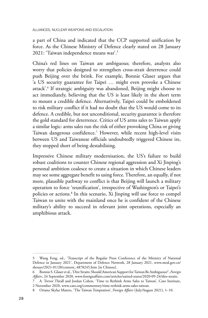a part of China and indicated that the CCP supported unification by force. As the Chinese Ministry of Defence clearly stated on 28 January 2021: 'Taiwan independence means war'.5

China's red lines on Taiwan are ambiguous; therefore, analysts also worry that policies designed to strengthen cross-strait deterrence could push Beijing over the brink. For example, Bonnie Glaser argues that 'a US security guarantee for Taipei … might even provoke a Chinese attack'.6 If strategic ambiguity was abandoned, Beijing might choose to act immediately, believing that the US is least likely in the short term to mount a credible defence. Alternatively, Taipei could be emboldened to risk military conflict if it had no doubt that the US would come to its defence. A credible, but not unconditional, security guarantee is therefore the gold standard for deterrence. Critics of US arms sales to Taiwan apply a similar logic: arms sales run the risk of either provoking China or giving Taiwan dangerous confidence.7 However, while recent high-level visits between US and Taiwanese officials undoubtedly triggered Chinese ire, they stopped short of being destabilising.

Impressive Chinese military modernisation, the US's failure to build robust coalitions to counter Chinese regional aggression and Xi Jinping's personal ambition coalesce to create a situation in which Chinese leaders may see some aggregate benefit to using force. Therefore, an equally, if not more, plausible pathway to conflict is that Beijing will launch a military operation to force 'reunification', irrespective of Washington's or Taipei's policies or actions.<sup>8</sup> In this scenario, Xi Jinping will use force to compel Taiwan to unite with the mainland once he is confident of the Chinese military's ability to succeed in relevant joint operations, especially an amphibious attack.

<sup>5</sup> Wang Feng, ed., 'Transcript of the Regular Press Conference of the Ministry of National Defence in January 2021', Department of Defence Network, 28 January 2021, [www.mod.gov.cn/](http://www.mod.gov.cn/shouye/2021-01/28/content_4878245.htm) [shouye/2021-01/28/content\\_4878245.htm](http://www.mod.gov.cn/shouye/2021-01/28/content_4878245.htm) [in Chinese].

<sup>6</sup> Bonnie S. Glaser et al., 'Dire Straits: Should American Support for Taiwan Be Ambiguous?', *Foreign Affairs*, 24 September 2020, [www.foreignaffairs.com/articles/united-states/2020-09-24/dire-straits.](http://www.foreignaffairs.com/articles/united-states/2020-09-24/dire-straits)

<sup>7</sup> A. Trevor Thrall and Jordan Cohen, 'Time to Rethink Arms Sales to Taiwan', Cato Institute, 2 November 2020, [www.cato.org/commentary/time-rethink-arms-sales-taiwan](http://www.cato.org/commentary/time-rethink-arms-sales-taiwan).

<sup>8</sup> Oriana Skylar Mastro, 'The Taiwan Temptation', *Foreign Affairs* (July/August 2021), 1–10.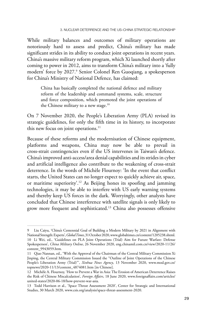While military balances and outcomes of military operations are notoriously hard to assess and predict, China's military has made significant strides in its ability to conduct joint operations in recent years. China's massive military reform program, which Xi launched shortly after coming to power in 2012, aims to transform China's military into a 'fully modern' force by 2027.<sup>9</sup> Senior Colonel Ren Guoqiang, a spokesperson for China's Ministry of National Defence, has claimed:

China has basically completed the national defence and military reform of the leadership and command systems, scale, structure and force composition, which promoted the joint operations of the Chinese military to a new stage.<sup>10</sup>

On 7 November 2020, the People's Liberation Army (PLA) revised its strategic guidelines, for only the fifth time in its history, to incorporate this new focus on joint operations.<sup>11</sup>

Because of these reforms and the modernisation of Chinese equipment, platforms and weapons, China may now be able to prevail in cross-strait contingencies even if the US intervenes in Taiwan's defence. China's improved anti-access/area denial capabilities and its strides in cyber and artificial intelligence also contribute to the weakening of cross-strait deterrence. In the words of Michèle Flournoy: 'In the event that conflict starts, the United States can no longer expect to quickly achieve air, space, or maritime superiority'.12 As Beijing hones its spoofing and jamming technologies, it may be able to interfere with US early warning systems and thereby keep US forces in the dark. Worryingly, other analysts have concluded that Chinese interference with satellite signals is only likely to grow more frequent and sophisticated.13 China also possesses offensive

<sup>9</sup> Liu Caiyu, 'China's Centennial Goal of Building a Modern Military by 2021 in Alignment with National Strength: Experts', *Global Times*, 31 October 2020, [www.globaltimes.cn/content/1205238.shtml.](http://www.globaltimes.cn/content/1205238.shtml) 10 Li Wei, ed., 'Guidelines on PLA Joint Operations (Trial) Aim for Future Warfare: Defense Spokesperson', *China Military Online*, 26 November 2020, [eng.chinamil.com.cn/view/2020-11/26/](http://eng.chinamil.com.cn/view/2020-11/26/content_9943059.htm) [content\\_9943059.htm](http://eng.chinamil.com.cn/view/2020-11/26/content_9943059.htm).

<sup>11</sup> Qiao Nannan, ed., 'With the Approval of the Chairman of the Central Military Commission Xi Jinping, the Central Military Commission Issued the "Outline of Joint Operations of the Chinese People's Liberation Army (Trial)"', *Xinhua News Agency*, 13 November 2020, [www.mod.gov.cn/](http://www.mod.gov.cn/topnews/2020-11/13/content_4874081.htm) [topnews/2020-11/13/content\\_4874081.htm](http://www.mod.gov.cn/topnews/2020-11/13/content_4874081.htm) [in Chinese].

<sup>12</sup> Michèle A. Flournoy, 'How to Prevent a War in Asia: The Erosion of American Deterrence Raises the Risk of Chinese Miscalculation', *Foreign Affairs*, 18 June 2020, [www.foreignaffairs.com/articles/](http://www.foreignaffairs.com/articles/united-states/2020-06-18/how-prevent-war-asia) [united-states/2020-06-18/how-prevent-war-asia](http://www.foreignaffairs.com/articles/united-states/2020-06-18/how-prevent-war-asia).

<sup>13</sup> Todd Harrison et al., 'Space Threat Assessment 2020', Center for Strategic and International Studies, 30 March 2020, [www.csis.org/analysis/space-threat-assessment-2020](http://www.csis.org/analysis/space-threat-assessment-2020).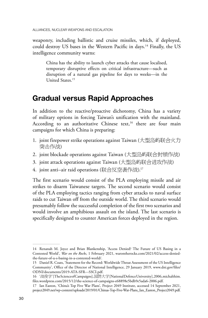weaponry, including ballistic and cruise missiles, which, if deployed, could destroy US bases in the Western Pacific in days.<sup>14</sup> Finally, the US intelligence community warns:

China has the ability to launch cyber attacks that cause localised, temporary disruptive effects on critical infrastructure—such as disruption of a natural gas pipeline for days to weeks—in the United States.15

## **Gradual versus Rapid Approaches**

In addition to the reactive/proactive dichotomy, China has a variety of military options in forcing Taiwan's unification with the mainland. According to an authoritative Chinese text,<sup>16</sup> there are four main campaigns for which China is preparing:

- 1. joint firepower strike operations against Taiwan (大型岛屿联合火力 突击作战)
- 2. joint blockade operations against Taiwan (大型岛屿联合封锁作战)
- 3. joint attack operations against Taiwan (大型岛屿联合进攻作战)
- 4. joint anti–air raid operations (联合反空袭作战).17

The first scenario would consist of the PLA employing missile and air strikes to disarm Taiwanese targets. The second scenario would consist of the PLA employing tactics ranging from cyber attacks to naval surface raids to cut Taiwan off from the outside world. The third scenario would presumably follow the successful completion of the first two scenarios and would involve an amphibious assault on the island. The last scenario is specifically designed to counter American forces deployed in the region.

<sup>14</sup> Renanah M. Joyce and Brian Blankenship, 'Access Denied? The Future of US Basing in a Contested World', *War on the Rocks*, 1 February 2021, [warontherocks.com/2021/02/access-denied](http://warontherocks.com/2021/02/access-denied-the-future-of-u-s-basing-in-a-contested-world/)[the-future-of-u-s-basing-in-a-contested-world/](http://warontherocks.com/2021/02/access-denied-the-future-of-u-s-basing-in-a-contested-world/).

<sup>15</sup> Daniel R. Coats, 'Statement for the Record: Worldwide Threat Assessment of the US Intelligence Community', Office of the Director of National Intelligence, 29 January 2019, [www.dni.gov/files/](http://www.dni.gov/files/ODNI/documents/2019-ATA-SFR---SSCI.pdf) [ODNI/documents/2019-ATA-SFR---SSCI.pdf.](http://www.dni.gov/files/ODNI/documents/2019-ATA-SFR---SSCI.pdf)

<sup>16</sup> '战役学' [The Science of Campaigns], 国防大学 [National Defence University], 2006, [michalthim.](http://michalthim.files.wordpress.com/2015/12/the-science-of-campaigns-e68898e5bdb9e5ada6-2006.pdf) [files.wordpress.com/2015/12/the-science-of-campaigns-e68898e5bdb9e5ada6-2006.pdf](http://michalthim.files.wordpress.com/2015/12/the-science-of-campaigns-e68898e5bdb9e5ada6-2006.pdf).

<sup>17</sup> Ian Easton, 'China's Top Five War Plans', Project 2049 Institute, accessed 14 September 2021, [project2049.net/wp-content/uploads/2019/01/Chinas-Top-Five-War-Plans\\_Ian\\_Easton\\_Project2049.pdf.](http://project2049.net/wp-content/uploads/2019/01/Chinas-Top-Five-War-Plans_Ian_Easton_Project2049.pdf)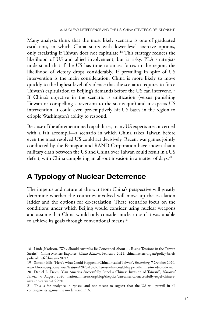Many analysts think that the most likely scenario is one of graduated escalation, in which China starts with lower-level coercive options, only escalating if Taiwan does not capitulate.18 This strategy reduces the likelihood of US and allied involvement, but is risky. PLA strategists understand that if the US has time to amass forces in the region, the likelihood of victory drops considerably. If prevailing in spite of US intervention is the main consideration, China is more likely to move quickly to the highest level of violence that the scenario requires to force Taiwan's capitulation to Beijing's demands before the US can intervene.<sup>19</sup> If China's objective in the scenario is unification (versus punishing Taiwan or compelling a reversion to the status quo) and it expects US intervention, it could even pre-emptively hit US bases in the region to cripple Washington's ability to respond.

Because of the aforementioned capabilities, many US experts are concerned with a fait accompli—a scenario in which China takes Taiwan before even the most resolved US could act decisively. Recent war games jointly conducted by the Pentagon and RAND Corporation have shown that a military clash between the US and China over Taiwan could result in a US defeat, with China completing an all-out invasion in a matter of days.<sup>20</sup>

#### **A Typology of Nuclear Deterrence**

The impetus and nature of the war from China's perspective will greatly determine whether the countries involved will move up the escalation ladder and the options for de-escalation. These scenarios focus on the conditions under which Beijing would consider using nuclear weapons and assume that China would only consider nuclear use if it was unable to achieve its goals through conventional means.<sup>21</sup>

<sup>18</sup> Linda Jakobson, 'Why Should Australia Be Concerned About … Rising Tensions in the Taiwan Straits?', China Matters Explores, *China Matters*, February 2021, [chinamatters.org.au/policy-brief/](http://chinamatters.org.au/policy-brief/policy-brief-february-2021/) [policy-brief-february-2021/.](http://chinamatters.org.au/policy-brief/policy-brief-february-2021/)

<sup>19</sup> Samson Ellis, 'Here's What Could Happen If China Invaded Taiwan', *Bloomberg*, 7 October 2020, [www.bloomberg.com/news/features/2020-10-07/here-s-what-could-happen-if-china-invaded-taiwan](http://www.bloomberg.com/news/features/2020-10-07/here-s-what-could-happen-if-china-invaded-taiwan).

<sup>20</sup> Daniel L. Davis, 'Can America Successfully Repel a Chinese Invasion of Taiwan?', *National Interest*, 6 August 2020, [nationalinterest.org/blog/skeptics/can-america-successfully-repel-chinese](http://nationalinterest.org/blog/skeptics/can-america-successfully-repel-chinese-invasion-taiwan-166350)[invasion-taiwan-166350.](http://nationalinterest.org/blog/skeptics/can-america-successfully-repel-chinese-invasion-taiwan-166350)

<sup>21</sup> This is for analytical purposes, and not meant to suggest that the US will prevail in all contingencies against the modernised PLA.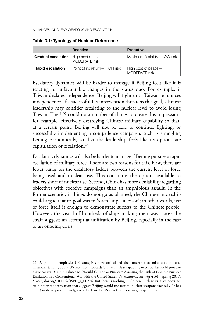|                                                 | <b>Reactive</b>              | <b>Proactive</b>                     |
|-------------------------------------------------|------------------------------|--------------------------------------|
| <b>Gradual escalation</b>   High cost of peace- | MODERATE risk                | Maximum flexibility-LOW risk         |
| <b>Rapid escalation</b>                         | Point of no return-HIGH risk | High cost of peace-<br>MODERATE risk |

**Table 3.1: Typology of Nuclear Deterrence**

Escalatory dynamics will be harder to manage if Beijing feels like it is reacting to unfavourable changes in the status quo. For example, if Taiwan declares independence, Beijing will fight until Taiwan renounces independence. If a successful US intervention threatens this goal, Chinese leadership may consider escalating to the nuclear level to avoid losing Taiwan. The US could do a number of things to create this impression: for example, effectively destroying Chinese military capability so that, at a certain point, Beijing will not be able to continue fighting; or successfully implementing a compellence campaign, such as strangling Beijing economically, so that the leadership feels like its options are capitulation or escalation.22

Escalatory dynamics will also be harder to manage if Beijing pursues a rapid escalation of military force. There are two reasons for this. First, there are fewer rungs on the escalatory ladder between the current level of force being used and nuclear use. This constrains the options available to leaders short of nuclear use. Second, China has more deniability regarding objectives with coercive campaigns than an amphibious assault. In the former scenario, if things do not go as planned, the Chinese leadership could argue that its goal was to 'teach Taipei a lesson'; in other words, use of force itself is enough to demonstrate success to the Chinese people. However, the visual of hundreds of ships making their way across the strait suggests an attempt at unification by Beijing, especially in the case of an ongoing crisis.

<sup>22</sup> A point of emphasis: US strategists have articulated the concern that miscalculation and misunderstanding about US intentions towards China's nuclear capability in particular could provoke a nuclear war. Caitlin Talmadge, 'Would China Go Nuclear? Assessing the Risk of Chinese Nuclear Escalation in a Conventional War with the United States', *International Security* 41(4), Spring 2017, 50–92, [doi.org/10.1162/ISEC\\_a\\_00274.](https://doi.org/10.1162/ISEC_a_00274) But there is nothing in Chinese nuclear strategy, doctrine, training or modernisation that suggests Beijing would use tactical nuclear weapons tactically (it has none) or do so pre-emptively, even if it feared a US attack on its strategic capabilities.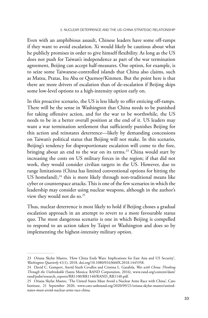Even with an amphibious assault, Chinese leaders have some off-ramps if they want to avoid escalation. Xi would likely be cautious about what he publicly promises in order to give himself flexibility. As long as the US does not push for Taiwan's independence as part of the war termination agreement, Beijing can accept half-measures. One option, for example, is to seize some Taiwanese-controlled islands that China also claims, such as Matsu, Pratas, Itu Aba or Quemoy/Kinmen. But the point here is that there are more drivers of escalation than of de-escalation if Beijing skips some low-level options to a high-intensity option early on.

In this proactive scenario, the US is less likely to offer enticing off-ramps. There will be the sense in Washington that China needs to be punished for taking offensive action, and for the war to be worthwhile, the US needs to be in a better overall position at the end of it. US leaders may want a war termination settlement that sufficiently punishes Beijing for this action and reinstates deterrence—likely by demanding concessions on Taiwan's political status that Beijing will not make. In this scenario, Beijing's tendency for disproportionate escalation will come to the fore, bringing about an end to the war on its terms.<sup>23</sup> China would start by increasing the costs on US military forces in the region; if that did not work, they would consider civilian targets in the US. However, due to range limitations (China has limited conventional options for hitting the US homeland), $24$  this is more likely through non-traditional means like cyber or counterspace attacks. This is one of the few scenarios in which the leadership may consider using nuclear weapons, although in the author's view they would not do so.<sup>25</sup>

Thus, nuclear deterrence is most likely to hold if Beijing choses a gradual escalation approach in an attempt to revert to a more favourable status quo. The most dangerous scenario is one in which Beijing is compelled to respond to an action taken by Taipei or Washington and does so by implementing the highest-intensity military option.

<sup>23</sup> Oriana Skylar Mastro, 'How China Ends Wars: Implications for East Asia and US Security', *Washington Quarterly* 41(1), 2018, [doi.org/10.1080/0163660X.2018.1445358](http://doi.org/10.1080/0163660X.2018.1445358).

<sup>24</sup> David C. Gompert, Astrid Stuth Cevallos and Cristina L. Garafola, *War with China: Thinking Through the Unthinkable* (Santa Monica: RAND Corporation, 2016), [www.rand.org/content/dam/](http://www.rand.org/content/dam/rand/pubs/research_reports/RR1100/RR1140/RAND_RR1140.pdf) [rand/pubs/research\\_reports/RR1100/RR1140/RAND\\_RR1140.pdf.](http://www.rand.org/content/dam/rand/pubs/research_reports/RR1100/RR1140/RAND_RR1140.pdf)

<sup>25</sup> Oriana Skylar Mastro, 'The United States Must Avoid a Nuclear Arms Race with China', Cato Institute, 21 September 2020, [www.cato-unbound.org/2020/09/21/oriana-skylar-mastro/united](http://www.cato-unbound.org/2020/09/21/oriana-skylar-mastro/united-states-must-avoid-nuclear-arms-race-china)[states-must-avoid-nuclear-arms-race-china.](http://www.cato-unbound.org/2020/09/21/oriana-skylar-mastro/united-states-must-avoid-nuclear-arms-race-china)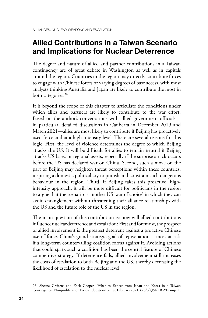### **Allied Contributions in a Taiwan Scenario and Implications for Nuclear Deterrence**

The degree and nature of allied and partner contributions in a Taiwan contingency are of great debate in Washington as well as in capitals around the region. Countries in the region may directly contribute forces to engage with Chinese forces or varying degrees of base access, with most analysts thinking Australia and Japan are likely to contribute the most in both categories.<sup>26</sup>

It is beyond the scope of this chapter to articulate the conditions under which allies and partners are likely to contribute to the war effort. Based on the author's conversations with allied government officials in particular, detailed discussions in Canberra in December 2019 and March 2021—allies are most likely to contribute if Beijing has proactively used force and at a high-intensity level. There are several reasons for this logic. First, the level of violence determines the degree to which Beijing attacks the US. It will be difficult for allies to remain neutral if Beijing attacks US bases or regional assets, especially if the surprise attack occurs before the US has declared war on China. Second, such a move on the part of Beijing may heighten threat perceptions within these countries, inspiring a domestic political cry to punish and constrain such dangerous behaviour in the region. Third, if Beijing takes this proactive, highintensity approach, it will be more difficult for politicians in the region to argue that the scenario is another US 'war of choice' in which they can avoid entanglement without threatening their alliance relationships with the US and the future role of the US in the region.

The main question of this contribution is: how will allied contributions influence nuclear deterrence and escalation? First and foremost, the prospect of allied involvement is the greatest deterrent against a proactive Chinese use of force. China's grand strategic goal of rejuvenation is most at risk if a long-term countervailing coalition forms against it. Avoiding actions that could spark such a coalition has been the central feature of Chinese competitive strategy. If deterrence fails, allied involvement still increases the costs of escalation to both Beijing and the US, thereby decreasing the likelihood of escalation to the nuclear level.

<sup>26</sup> Sheena Greitens and Zack Cooper, 'What to Expect from Japan and Korea in a Taiwan Contingency', Nonproliferation Policy Education Center, February 2021, [t.co/bfQSKZRaYE?amp=1](http://t.co/bfQSKZRaYE?amp=1).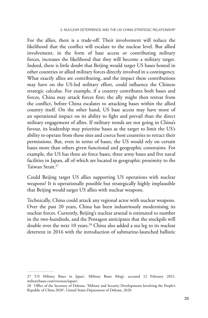For the allies, there is a trade-off. Their involvement will reduce the likelihood that the conflict will escalate to the nuclear level. But allied involvement, in the form of base access or contributing military forces, increases the likelihood that they will become a military target. Indeed, there is little doubt that Beijing would target US bases hosted in other countries or allied military forces directly involved in a contingency. What exactly allies are contributing, and the impact these contributions may have on the US-led military effort, could influence the Chinese strategic calculus. For example, if a country contributes both bases and forces, China may attack forces first; the ally might then retreat from the conflict, before China escalates to attacking bases within the allied country itself. On the other hand, US base access may have more of an operational impact on its ability to fight and prevail than the direct military engagement of allies. If military trends are not going in China's favour, its leadership may prioritise bases as the target to limit the US's ability to operate from those sites and coerce host countries to retract their permissions. But, even in terms of bases, the US would rely on certain bases more than others given functional and geographic constraints. For example, the US has three air force bases, three army bases and five naval facilities in Japan, all of which are located in geographic proximity to the Taiwan Strait.27

Could Beijing target US allies supporting US operations with nuclear weapons? It is operationally possible but strategically highly implausible that Beijing would target US allies with nuclear weapons.

Technically, China could attack any regional actor with nuclear weapons. Over the past 20 years, China has been industriously modernising its nuclear forces. Currently, Beijing's nuclear arsenal is estimated to number in the two-hundreds, and the Pentagon anticipates that the stockpile will double over the next 10 years.<sup>28</sup> China also added a sea leg to its nuclear deterrent in 2016 with the introduction of submarine-launched ballistic

<sup>27</sup> 'US Military Bases in Japan', Military Bases (blog), accessed 12 February 2021, [militarybases.com/overseas/japan/](http://militarybases.com/overseas/japan/).

<sup>28</sup> Office of the Secretary of Defense, 'Military and Security Developments Involving the People's Republic of China 2020', United States Department of Defense, 2020.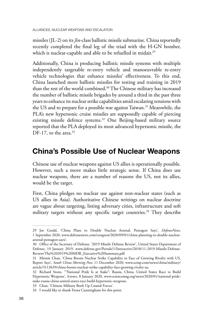missiles (JL-2) on its *Jin*-class ballistic missile submarine. China reportedly recently completed the final leg of the triad with the H-GN bomber, which is nuclear-capable and able to be refuelled in midair.<sup>29</sup>

Additionally, China is producing ballistic missile systems with multiple independently targetable re-entry vehicle and manoeuvrable re-entry vehicle technologies that enhance missiles' effectiveness. To this end, China launched more ballistic missiles for testing and training in 2019 than the rest of the world combined.30 The Chinese military has increased the number of ballistic missile brigades by around a third in the past three years to enhance its nuclear strike capabilities amid escalating tensions with the US and to prepare for a possible war against Taiwan.<sup>31</sup> Meanwhile, the PLA's new hypersonic cruise missiles are supposedly capable of piercing existing missile defence systems.<sup>32</sup> One Beijing-based military source reported that the PLA deployed its most advanced hypersonic missile, the DF-17, to the area.<sup>33</sup>

### **China's Possible Use of Nuclear Weapons**

Chinese use of nuclear weapons against US allies is operationally possible. However, such a move makes little strategic sense. If China does use nuclear weapons, there are a number of reasons the US, not its allies, would be the target.

First, China pledges no nuclear use against non-nuclear states (such as US allies in Asia). Authoritative Chinese writings on nuclear doctrine are vague about targeting, listing adversary cities, infrastructure and soft military targets without any specific target countries.<sup>34</sup> They describe

<sup>29</sup> Joe Gould, 'China Plans to Double Nuclear Arsenal, Pentagon Says', *DefenseNews*, 1 September 2020, [www.defensenews.com/congress/2020/09/01/china-planning-to-double-nuclear](http://www.defensenews.com/congress/2020/09/01/china-planning-to-double-nuclear-arsenal-pentagon-says/)[arsenal-pentagon-says/](http://www.defensenews.com/congress/2020/09/01/china-planning-to-double-nuclear-arsenal-pentagon-says/).

<sup>30</sup> Office of the Secretary of Defense, '2019 Missile Defense Review', United States Department of Defense, 19 January 2019, [www.defense.gov/Portals/1/Interactive/2018/11-2019-Missile-Defense-](http://www.defense.gov/Portals/1/Interactive/2018/11-2019-Missile-Defense-Review/The%202019%20MDR_Executive%20Summary.pdf)[Review/The%202019%20MDR\\_Executive%20Summary.pdf.](http://www.defense.gov/Portals/1/Interactive/2018/11-2019-Missile-Defense-Review/The%202019%20MDR_Executive%20Summary.pdf)

<sup>31</sup> Minnie Chan, 'China Boosts Nuclear Strike Capability in Face of Growing Rivalry with US, Report Says', *South China Morning Post*, 11 December 2020, [www.scmp.com/news/china/military/](http://www.scmp.com/news/china/military/article/3113639/china-boosts-nuclear-strike-capability-face-growing-rivalry-us) [article/3113639/china-boosts-nuclear-strike-capability-face-growing-rivalry-us](http://www.scmp.com/news/china/military/article/3113639/china-boosts-nuclear-strike-capability-face-growing-rivalry-us).

<sup>32</sup> Richard Stone, '"National Pride Is at Stake": Russia, China, United States Race to Build Hypersonic Weapons', *Science*, 8 January 2020, [www.sciencemag.org/news/2020/01/national-pride](http://www.sciencemag.org/news/2020/01/national-pride-stake-russia-china-united-states-race-build-hypersonic-weapons)[stake-russia-china-united-states-race-build-hypersonic-weapons.](http://www.sciencemag.org/news/2020/01/national-pride-stake-russia-china-united-states-race-build-hypersonic-weapons)

<sup>33</sup> Chan, 'Chinese Military Beefs Up Coastal Forces'.

<sup>34</sup> I would like to thank Fiona Cunningham for this point.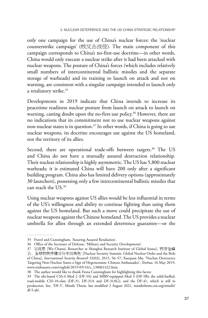#### 3. NUCLEAR DETERRENCE AND THE US–CHINA STRATEGIC RELATIONSHIP

only one campaign for the use of China's nuclear forces: the 'nuclear counterstrike campaign' (核反击战役). The main component of this campaign corresponds to China's no-first-use doctrine—in other words, China would only execute a nuclear strike after it had been attacked with nuclear weapons. The posture of China's forces (which includes relatively small numbers of intercontinental ballistic missiles and the separate storage of warheads) and its training to launch on attack and not on warning, are consistent with a singular campaign intended to launch only a retaliatory strike.35

Developments in 2019 indicate that China intends to increase its peacetime readiness nuclear posture from launch on attack to launch on warning, casting doubt upon the no-first-use policy.<sup>36</sup> However, there are no indications that its commitment not to use nuclear weapons against non-nuclear states is in question.37 In other words, if China is going to use nuclear weapons, its doctrine encourages use against the US homeland, not the territory of its allies.

Second, there are operational trade-offs between targets.<sup>38</sup> The US and China do not have a mutually assured destruction relationship*.* Their nuclear relationship is highly asymmetric. The US has 5,800 nuclear warheads; it is estimated China will have 200 only after a significant building program. China also has limited delivery options (approximately 30 launchers), possessing only a few intercontinental ballistic missiles that can reach the US.39

Using nuclear weapons against US allies would be less influential in terms of the US's willingness and ability to continue fighting than using them against the US homeland. But such a move could precipitate the use of nuclear weapons against the Chinese homeland. The US provides a nuclear umbrella for allies through an extended deterrence guarantee—or the

<sup>35</sup> Fravel and Cunningham, 'Assuring Assured Retaliation'.

<sup>36</sup> Office of the Secretary of Defense, 'Military and Security Developments'.

<sup>37</sup> 吴莼思 [Wu Chunsi, Researcher at Shanghai Research Institute of Global Issues], '核安全峰 会、全球核秩序建设与中国角色' [Nuclear Security Summit, Global Nuclear Order and the Role of China], *International Security Research* 33(02), 2015, 56–57; Xuequan Mu, 'Nuclear Deterrence Targeting Non-Nuclear States a Sign of Hegemonism: Chinese Ambassador', *Xinhua*, 16 May 2019, [www.xinhuanet.com/english/2019-05/16/c\\_138061422.htm](http://www.xinhuanet.com/english/2019-05/16/c_138061422.htm).

<sup>38</sup> The author would like to thank Fiona Cunningham for highlighting this factor.

<sup>39</sup> The silo-based CSS-4 Mod 2 (DF-5A) and MIRV-equipped Mod 3 (DF-5B); the solid-fuelled, road-mobile CSS-10-class (DF-31, DF-31A and DF-31AG); and the DF-41, which is still in production. See, 'DF-5', Missile Threat, last modified 2 August 2021, [missilethreat.csis.org/missile/](http://missilethreat.csis.org/missile/df-5-ab/) [df-5-ab/](http://missilethreat.csis.org/missile/df-5-ab/).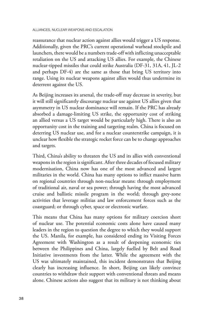reassurance that nuclear action against allies would trigger a US response. Additionally, given the PRC's current operational warhead stockpile and launchers, there would be a numbers trade-off with inflicting unacceptable retaliation on the US and attacking US allies. For example, the Chinese nuclear-tipped missiles that could strike Australia (DF-31, 31A, 41, JL-2 and perhaps DF-4) are the same as those that bring US territory into range. Using its nuclear weapons against allies would thus undermine its deterrent against the US.

As Beijing increases its arsenal, the trade-off may decrease in severity, but it will still significantly discourage nuclear use against US allies given that asymmetry in US nuclear dominance will remain. If the PRC has already absorbed a damage-limiting US strike, the opportunity cost of striking an allied versus a US target would be particularly high. There is also an opportunity cost in the training and targeting realm. China is focused on deterring US nuclear use, and for a nuclear counterstrike campaign, it is unclear how flexible the strategic rocket force can be to change approaches and targets.

Third, China's ability to threaten the US and its allies with conventional weapons in the region is significant. After three decades of focused military modernisation, China now has one of the most advanced and largest militaries in the world. China has many options to inflict massive harm on regional countries through non-nuclear means: through employment of traditional air, naval or sea power; through having the most advanced cruise and ballistic missile program in the world; through grey-zone activities that leverage militias and law enforcement forces such as the coastguard; or through cyber, space or electronic warfare.

This means that China has many options for military coercion short of nuclear use. The potential economic costs alone have caused many leaders in the region to question the degree to which they would support the US. Manila, for example, has considered ending its Visiting Forces Agreement with Washington as a result of deepening economic ties between the Philippines and China, largely fuelled by Belt and Road Initiative investments from the latter. While the agreement with the US was ultimately maintained, this incident demonstrates that Beijing clearly has increasing influence. In short, Beijing can likely convince countries to withdraw their support with conventional threats and means alone. Chinese actions also suggest that its military is not thinking about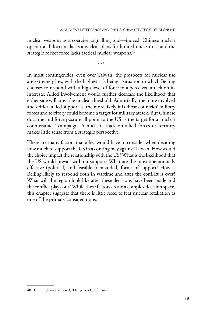nuclear weapons as a coercive, signalling tool—indeed, Chinese nuclear operational doctrine lacks any clear plans for limited nuclear use and the strategic rocket force lacks tactical nuclear weapons.<sup>40</sup>

\*\*\*

In most contingencies, even over Taiwan, the prospects for nuclear use are extremely low, with the highest risk being a situation in which Beijing chooses to respond with a high level of force to a perceived attack on its interests. Allied involvement would further decrease the likelihood that either side will cross the nuclear threshold. Admittedly, the more involved and critical allied support is, the more likely it is those countries' military forces and territory could become a target for military attack. But Chinese doctrine and force posture all point to the US as the target for a 'nuclear counterattack' campaign. A nuclear attack on allied forces or territory makes little sense from a strategic perspective.

There are many factors that allies would have to consider when deciding how much to support the US in a contingency against Taiwan. How would the choice impact the relationship with the US? What is the likelihood that the US would prevail without support? What are the most operationally effective (political) and feasible (demanded) forms of support? How is Beijing likely to respond both in wartime and after the conflict is over? What will the region look like after these decisions have been made and the conflict plays out? While these factors create a complex decision space, this chapter suggests that there is little need to fear nuclear retaliation as one of the primary considerations.

<sup>40</sup> Cunningham and Fravel, 'Dangerous Confidence?'.